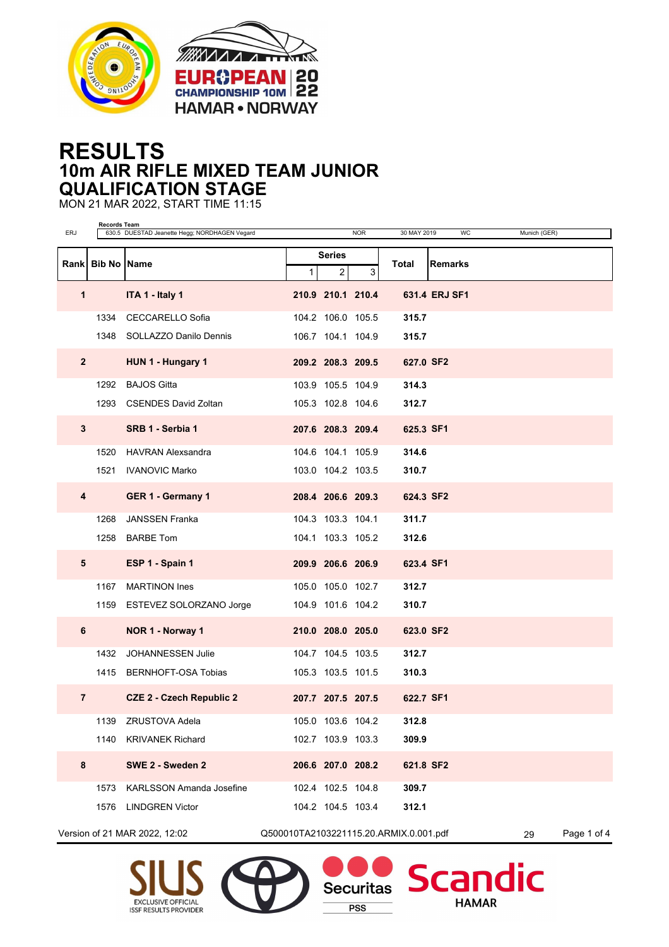



## **RESULTS 10m AIR RIFLE MIXED TEAM JUNIOR QUALIFICATION STAGE**

MON 21 MAR 2022, START TIME 11:15

EXCLUSIVE OFFICIAL<br>ISSF RESULTS PROVIDER

| <b>ERJ</b>               | Records Team | 630.5 DUESTAD Jeanette Hegg; NORDHAGEN Vegard |                                        |                   | <b>NOR</b>        | 30 MAY 2019 | WC             | Munich (GER)             |             |
|--------------------------|--------------|-----------------------------------------------|----------------------------------------|-------------------|-------------------|-------------|----------------|--------------------------|-------------|
|                          |              | Rank Bib No Name                              | <b>Series</b>                          |                   |                   | Total       | <b>Remarks</b> |                          |             |
|                          |              |                                               | 1                                      | $\overline{a}$    | 3                 |             |                |                          |             |
| $\mathbf 1$              |              | ITA 1 - Italy 1                               |                                        |                   | 210.9 210.1 210.4 |             | 631.4 ERJ SF1  |                          |             |
|                          | 1334         | <b>CECCARELLO Sofia</b>                       |                                        | 104.2 106.0 105.5 |                   | 315.7       |                |                          |             |
|                          |              | 1348 SOLLAZZO Danilo Dennis                   |                                        | 106.7 104.1 104.9 |                   | 315.7       |                |                          |             |
| $\mathbf{2}$             |              | HUN 1 - Hungary 1                             |                                        |                   | 209.2 208.3 209.5 | 627.0 SF2   |                |                          |             |
|                          |              | 1292 BAJOS Gitta                              |                                        | 103.9 105.5 104.9 |                   | 314.3       |                |                          |             |
|                          |              | 1293 CSENDES David Zoltan                     |                                        |                   | 105.3 102.8 104.6 | 312.7       |                |                          |             |
| 3                        |              | SRB 1 - Serbia 1                              |                                        |                   | 207.6 208.3 209.4 | 625.3 SF1   |                |                          |             |
|                          |              | 1520 HAVRAN Alexsandra                        |                                        | 104.6 104.1 105.9 |                   | 314.6       |                |                          |             |
|                          |              | 1521 IVANOVIC Marko                           |                                        |                   | 103.0 104.2 103.5 | 310.7       |                |                          |             |
| 4                        |              | GER 1 - Germany 1                             |                                        |                   | 208.4 206.6 209.3 | 624.3 SF2   |                |                          |             |
|                          | 1268         | <b>JANSSEN Franka</b>                         |                                        | 104.3 103.3 104.1 |                   | 311.7       |                |                          |             |
|                          |              | 1258 BARBE Tom                                |                                        |                   | 104.1 103.3 105.2 | 312.6       |                |                          |             |
| 5                        |              | ESP 1 - Spain 1                               |                                        | 209.9 206.6 206.9 |                   | 623.4 SF1   |                |                          |             |
|                          | 1167         | <b>MARTINON Ines</b>                          |                                        |                   | 105.0 105.0 102.7 | 312.7       |                |                          |             |
|                          |              | 1159 ESTEVEZ SOLORZANO Jorge                  |                                        |                   | 104.9 101.6 104.2 | 310.7       |                |                          |             |
| 6                        |              | NOR 1 - Norway 1                              |                                        | 210.0 208.0 205.0 |                   | 623.0 SF2   |                |                          |             |
|                          |              | 1432 JOHANNESSEN Julie                        |                                        | 104.7 104.5 103.5 |                   | 312.7       |                |                          |             |
|                          |              | 1415 BERNHOFT-OSA Tobias                      |                                        |                   | 105.3 103.5 101.5 | 310.3       |                |                          |             |
| $\overline{\phantom{a}}$ |              | <b>CZE 2 - Czech Republic 2</b>               |                                        |                   | 207.7 207.5 207.5 | 622.7 SF1   |                |                          |             |
|                          | 1139         | <b>ZRUSTOVA Adela</b>                         |                                        |                   | 105.0 103.6 104.2 | 312.8       |                |                          |             |
|                          | 1140         | <b>KRIVANEK Richard</b>                       |                                        | 102.7 103.9 103.3 |                   | 309.9       |                |                          |             |
| 8                        |              | SWE 2 - Sweden 2                              |                                        | 206.6 207.0 208.2 |                   | 621.8 SF2   |                |                          |             |
|                          | 1573         | <b>KARLSSON Amanda Josefine</b>               |                                        | 102.4 102.5 104.8 |                   | 309.7       |                |                          |             |
|                          | 1576         | <b>LINDGREN Victor</b>                        |                                        | 104.2 104.5 103.4 |                   | 312.1       |                |                          |             |
|                          |              | Version of 21 MAR 2022, 12:02                 | Q500010TA2103221115.20.ARMIX.0.001.pdf |                   |                   |             |                | 29                       | Page 1 of 4 |
|                          |              | SIUS <sub>64</sub>                            |                                        |                   |                   |             |                | <b>Securitas Scandic</b> |             |

 $PSS$ 

**HAMAR**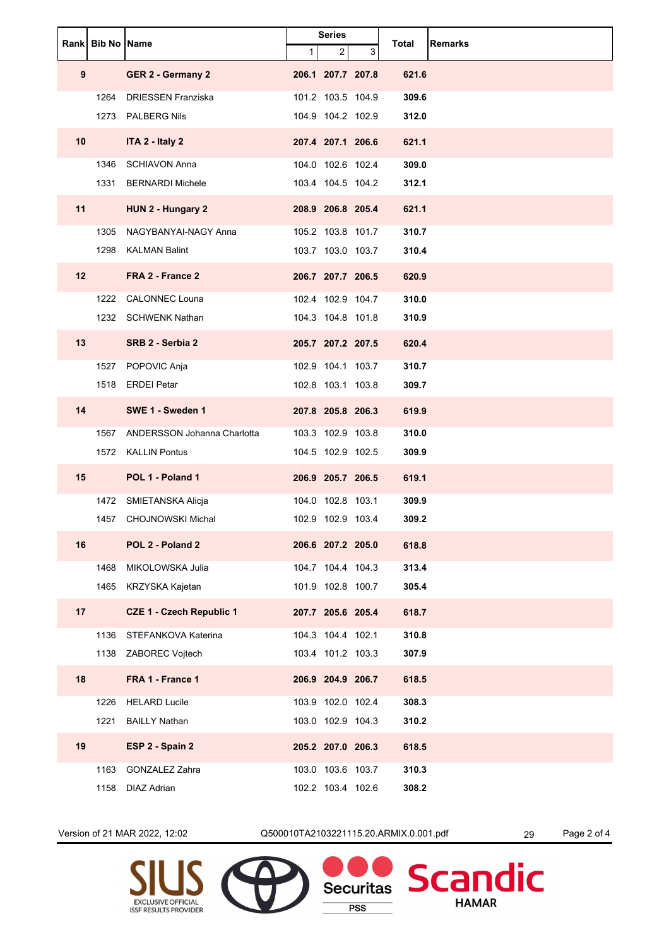|                 | Rank Bib No Name |                                 | <b>Series</b><br>3<br>1<br>2 |                   | Total | <b>Remarks</b> |  |
|-----------------|------------------|---------------------------------|------------------------------|-------------------|-------|----------------|--|
| 9               |                  | GER 2 - Germany 2               |                              | 206.1 207.7 207.8 |       | 621.6          |  |
|                 | 1264             | <b>DRIESSEN Franziska</b>       |                              | 101.2 103.5 104.9 |       | 309.6          |  |
|                 | 1273             | <b>PALBERG Nils</b>             |                              | 104.9 104.2 102.9 |       | 312.0          |  |
| 10 <sup>1</sup> |                  | ITA 2 - Italy 2                 |                              | 207.4 207.1 206.6 |       | 621.1          |  |
|                 | 1346             | <b>SCHIAVON Anna</b>            |                              | 104.0 102.6 102.4 |       | 309.0          |  |
|                 | 1331             | <b>BERNARDI Michele</b>         |                              | 103.4 104.5 104.2 |       | 312.1          |  |
| 11              |                  | HUN 2 - Hungary 2               |                              | 208.9 206.8 205.4 |       | 621.1          |  |
|                 | 1305             | NAGYBANYAI-NAGY Anna            |                              | 105.2 103.8 101.7 |       | 310.7          |  |
|                 | 1298             | <b>KALMAN Balint</b>            |                              | 103.7 103.0 103.7 |       | 310.4          |  |
| 12              |                  | FRA 2 - France 2                |                              | 206.7 207.7 206.5 |       | 620.9          |  |
|                 | 1222             | <b>CALONNEC Louna</b>           |                              | 102.4 102.9 104.7 |       | 310.0          |  |
|                 |                  | 1232 SCHWENK Nathan             |                              | 104.3 104.8 101.8 |       | 310.9          |  |
| 13              |                  | SRB 2 - Serbia 2                |                              | 205.7 207.2 207.5 |       | 620.4          |  |
|                 | 1527             | POPOVIC Anja                    |                              | 102.9 104.1 103.7 |       | 310.7          |  |
|                 |                  | 1518 ERDEI Petar                |                              | 102.8 103.1 103.8 |       | 309.7          |  |
| 14              |                  | SWE 1 - Sweden 1                |                              | 207.8 205.8 206.3 |       | 619.9          |  |
|                 | 1567             | ANDERSSON Johanna Charlotta     |                              | 103.3 102.9 103.8 |       | 310.0          |  |
|                 | 1572             | <b>KALLIN Pontus</b>            |                              | 104.5 102.9 102.5 |       | 309.9          |  |
| 15              |                  | POL 1 - Poland 1                |                              | 206.9 205.7 206.5 |       | 619.1          |  |
|                 | 1472             | SMIETANSKA Alicja               |                              | 104.0 102.8 103.1 |       | 309.9          |  |
|                 | 1457             | <b>CHOJNOWSKI Michal</b>        |                              | 102.9 102.9 103.4 |       | 309.2          |  |
| 16              |                  | POL 2 - Poland 2                |                              | 206.6 207.2 205.0 |       | 618.8          |  |
|                 | 1468             | MIKOLOWSKA Julia                |                              | 104.7 104.4 104.3 |       | 313.4          |  |
|                 | 1465             | KRZYSKA Kajetan                 |                              | 101.9 102.8 100.7 |       | 305.4          |  |
| 17              |                  | <b>CZE 1 - Czech Republic 1</b> |                              | 207.7 205.6 205.4 |       | 618.7          |  |
|                 | 1136             | STEFANKOVA Katerina             |                              | 104.3 104.4 102.1 |       | 310.8          |  |
|                 |                  | 1138 ZABOREC Vojtech            |                              | 103.4 101.2 103.3 |       | 307.9          |  |
| 18              |                  | FRA 1 - France 1                |                              | 206.9 204.9 206.7 |       | 618.5          |  |
|                 | 1226             | <b>HELARD Lucile</b>            |                              | 103.9 102.0 102.4 |       | 308.3          |  |
|                 | 1221             | <b>BAILLY Nathan</b>            |                              | 103.0 102.9 104.3 |       | 310.2          |  |
| 19              |                  | ESP 2 - Spain 2                 |                              | 205.2 207.0 206.3 |       | 618.5          |  |
|                 | 1163             | <b>GONZALEZ Zahra</b>           |                              | 103.0 103.6 103.7 |       | 310.3          |  |
|                 | 1158             | <b>DIAZ Adrian</b>              |                              | 102.2 103.4 102.6 |       | 308.2          |  |

Version of 21 MAR 2022, 12:02 Q500010TA2103221115.20.ARMIX.0.001.pdf 29 Page 2 of 4

**PSS** 

**HAMAR** 



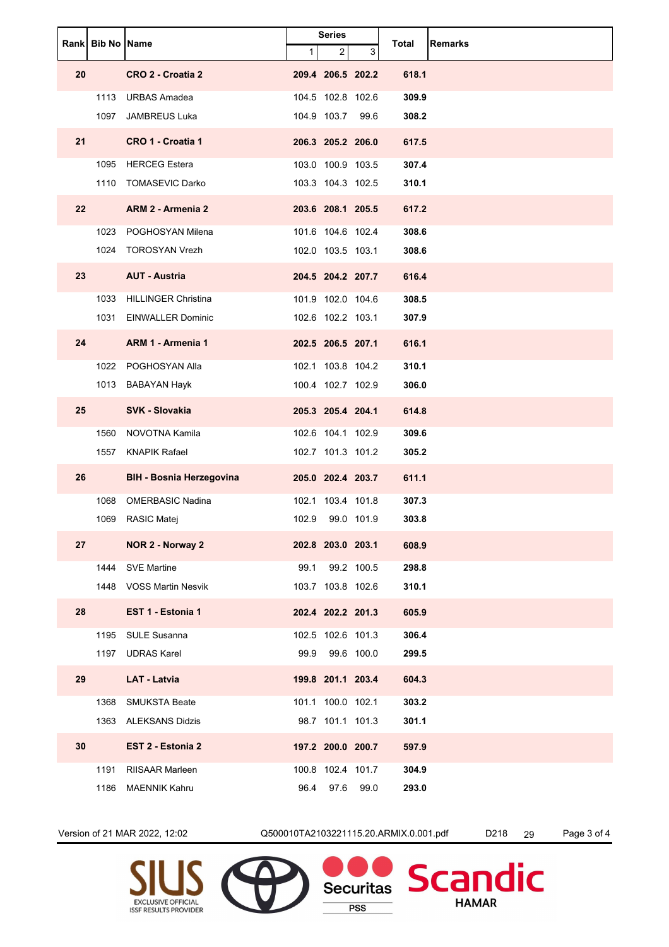|    | Rank Bib No Name |                                 | $\mathbf{1}$ | <b>Series</b><br>2 | 3          | Total | Remarks |
|----|------------------|---------------------------------|--------------|--------------------|------------|-------|---------|
| 20 |                  | CRO 2 - Croatia 2               |              | 209.4 206.5 202.2  |            | 618.1 |         |
|    | 1113             | <b>URBAS Amadea</b>             |              | 104.5 102.8 102.6  |            | 309.9 |         |
|    | 1097             | <b>JAMBREUS Luka</b>            |              | 104.9 103.7        | 99.6       | 308.2 |         |
| 21 |                  | CRO 1 - Croatia 1               |              | 206.3 205.2 206.0  |            | 617.5 |         |
|    |                  | 1095 HERCEG Estera              |              | 103.0 100.9 103.5  |            | 307.4 |         |
|    |                  | 1110 TOMASEVIC Darko            |              | 103.3 104.3 102.5  |            | 310.1 |         |
| 22 |                  | ARM 2 - Armenia 2               |              | 203.6 208.1 205.5  |            | 617.2 |         |
|    |                  | 1023 POGHOSYAN Milena           |              | 101.6 104.6 102.4  |            | 308.6 |         |
|    |                  | 1024 TOROSYAN Vrezh             |              | 102.0 103.5 103.1  |            | 308.6 |         |
| 23 |                  | <b>AUT - Austria</b>            |              | 204.5 204.2 207.7  |            | 616.4 |         |
|    | 1033             | <b>HILLINGER Christina</b>      |              | 101.9 102.0 104.6  |            | 308.5 |         |
|    | 1031             | <b>EINWALLER Dominic</b>        |              | 102.6 102.2 103.1  |            | 307.9 |         |
| 24 |                  | <b>ARM 1 - Armenia 1</b>        |              | 202.5 206.5 207.1  |            | 616.1 |         |
|    | 1022             | POGHOSYAN Alla                  |              | 102.1 103.8 104.2  |            | 310.1 |         |
|    |                  | 1013 BABAYAN Hayk               |              | 100.4 102.7 102.9  |            | 306.0 |         |
| 25 |                  | <b>SVK - Slovakia</b>           |              | 205.3 205.4 204.1  |            | 614.8 |         |
|    | 1560             | NOVOTNA Kamila                  |              | 102.6 104.1 102.9  |            | 309.6 |         |
|    | 1557             | <b>KNAPIK Rafael</b>            |              | 102.7 101.3 101.2  |            | 305.2 |         |
| 26 |                  | <b>BIH - Bosnia Herzegovina</b> |              | 205.0 202.4 203.7  |            | 611.1 |         |
|    | 1068             | <b>OMERBASIC Nadina</b>         |              | 102.1 103.4 101.8  |            | 307.3 |         |
|    | 1069             | RASIC Matej                     | 102.9        |                    | 99.0 101.9 | 303.8 |         |
| 27 |                  | NOR 2 - Norway 2                |              | 202.8 203.0 203.1  |            | 608.9 |         |
|    | 1444             | <b>SVE Martine</b>              | 99.1         |                    | 99.2 100.5 | 298.8 |         |
|    |                  | 1448 VOSS Martin Nesvik         |              | 103.7 103.8 102.6  |            | 310.1 |         |
| 28 |                  | EST 1 - Estonia 1               |              | 202.4 202.2 201.3  |            | 605.9 |         |
|    | 1195             | <b>SULE Susanna</b>             |              | 102.5 102.6 101.3  |            | 306.4 |         |
|    | 1197             | <b>UDRAS Karel</b>              | 99.9         |                    | 99.6 100.0 | 299.5 |         |
| 29 |                  | <b>LAT - Latvia</b>             |              | 199.8 201.1 203.4  |            | 604.3 |         |
|    | 1368             | <b>SMUKSTA Beate</b>            |              | 101.1 100.0 102.1  |            | 303.2 |         |
|    |                  | 1363 ALEKSANS Didzis            |              | 98.7 101.1 101.3   |            | 301.1 |         |
| 30 |                  | EST 2 - Estonia 2               |              | 197.2 200.0 200.7  |            | 597.9 |         |
|    | 1191             | RIISAAR Marleen                 |              | 100.8 102.4 101.7  |            | 304.9 |         |
|    | 1186             | <b>MAENNIK Kahru</b>            | 96.4         | 97.6               | 99.0       | 293.0 |         |

Version of 21 MAR 2022, 12:02 Q500010TA2103221115.20.ARMIX.0.001.pdf D218 29 Page 3 of 4

**PSS** 

**HAMAR**